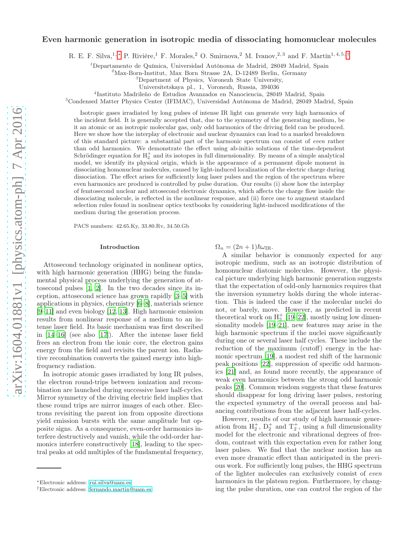# Even harmonic generation in isotropic media of dissociating homonuclear molecules

R. E. F. Silva,<sup>1, \*</sup> P. Rivière,<sup>1</sup> F. Morales,<sup>2</sup> O. Smirnova,<sup>2</sup> M. Ivanov,<sup>2,3</sup> and F. Martín<sup>1, 4, 5, [†](#page-0-1)</sup>

<sup>1</sup>Departamento de Química, Universidad Autónoma de Madrid, 28049 Madrid, Spain

 ${}^{2}_{2}$ Max-Born-Institut, Max Born Strasse 2A, D-12489 Berlin, Germany

<sup>3</sup>Department of Physics, Voronezh State University,

Universitetskaya pl., 1, Voronezh, Russia, 394036

4 Instituto Madrileño de Estudios Avanzados en Nanociencia, 28049 Madrid, Spain

<sup>5</sup>Condensed Matter Physics Center (IFIMAC), Universidad Autónoma de Madrid, 28049 Madrid, Spain

Isotropic gases irradiated by long pulses of intense IR light can generate very high harmonics of the incident field. It is generally accepted that, due to the symmetry of the generating medium, be it an atomic or an isotropic molecular gas, only odd harmonics of the driving field can be produced. Here we show how the interplay of electronic and nuclear dynamics can lead to a marked breakdown of this standard picture: a substantial part of the harmonic spectrum can consist of even rather than odd harmonics. We demonstrate the effect using ab-initio solutions of the time-dependent Schrödinger equation for  $H_2^+$  and its isotopes in full dimensionality. By means of a simple analytical model, we identify its physical origin, which is the appearance of a permanent dipole moment in dissociating homonuclear molecules, caused by light-induced localization of the electric charge during dissociation. The effect arises for sufficiently long laser pulses and the region of the spectrum where even harmonics are produced is controlled by pulse duration. Our results (i) show how the interplay of femtosecond nuclear and attosecond electronic dynamics, which affects the charge flow inside the dissociating molecule, is reflected in the nonlinear response, and (ii) force one to augment standard selection rules found in nonlinear optics textbooks by considering light-induced modifications of the medium during the generation process.

PACS numbers: 42.65.Ky, 33.80.Rv, 34.50.Gb

#### Introduction

Attosecond technology originated in nonlinear optics, with high harmonic generation (HHG) being the fundamental physical process underlying the generation of attosecond pulses [\[1](#page-5-0), [2](#page-5-1)]. In the two decades since its inception, attosecond science has grown rapidly [\[3](#page-6-0)[–5\]](#page-6-1) with applications in physics, chemistry [\[6](#page-6-2)[–8\]](#page-6-3), materials science [\[9](#page-6-4)[–11\]](#page-6-5) and even biology [\[12](#page-6-6), [13\]](#page-6-7). High harmonic emission results from nonlinear response of a medium to an intense laser field. Its basic mechanism was first described in [\[14](#page-6-8)[–16\]](#page-6-9) (see also [\[17\]](#page-6-10)). After the intense laser field frees an electron from the ionic core, the electron gains energy from the field and revisits the parent ion. Radiative recombination converts the gained energy into highfrequency radiation.

In isotropic atomic gases irradiated by long IR pulses, the electron round-trips between ionization and recombination are launched during successive laser half-cycles. Mirror symmetry of the driving electric field implies that these round trips are mirror images of each other. Electrons revisiting the parent ion from opposite directions yield emission bursts with the same amplitude but opposite signs. As a consequence, even-order harmonics interfere destructively and vanish, while the odd-order harmonics interfere constructively [\[18\]](#page-6-11), leading to the spectral peaks at odd multiples of the fundamental frequency,  $\Omega_n = (2n+1)\hbar\omega_{\text{IR}}.$ 

A similar behavior is commonly expected for any isotropic medium, such as an isotropic distribution of homonuclear diatomic molecules. However, the physical picture underlying high harmonic generation suggests that the expectation of odd-only harmonics requires that the inversion symmetry holds during the whole interaction. This is indeed the case if the molecular nuclei do not, or barely, move. However, as predicted in recent theoretical work on  $H_2^+$  [\[19](#page-6-12)[–22](#page-6-13)], mostly using low dimensionality models [\[19](#page-6-12)[–21\]](#page-6-14), new features may arise in the high harmonic spectrum if the nuclei move significantly during one or several laser half cycles. These include the reduction of the maximum (cutoff) energy in the harmonic spectrum [\[19](#page-6-12)], a modest red shift of the harmonic peak positions [\[22](#page-6-13)], suppression of specific odd harmonics [\[21](#page-6-14)] and, as found more recently, the appearance of weak even harmonics between the strong odd harmonic peaks [\[20\]](#page-6-15). Common wisdom suggests that these features should disappear for long driving laser pulses, restoring the expected symmetry of the overall process and balancing contributions from the adjacent laser half-cycles.

However, results of our study of high harmonic generation from  $H_2^+$ ,  $D_2^+$  and  $T_2^+$ , using a full dimensionality model for the electronic and vibrational degrees of freedom, contrast with this expectation even for rather long laser pulses. We find that the nuclear motion has an even more dramatic effect than anticipated in the previous work. For sufficiently long pulses, the HHG spectrum of the lighter molecules can exclusively consist of even harmonics in the plateau region. Furthermore, by changing the pulse duration, one can control the region of the

<span id="page-0-0"></span><sup>∗</sup>Electronic address: [rui.silva@uam.es](mailto:rui.silva@uam.es)

<span id="page-0-1"></span><sup>†</sup>Electronic address: [fernando.martin@uam.es](mailto:fernando.martin@uam.es)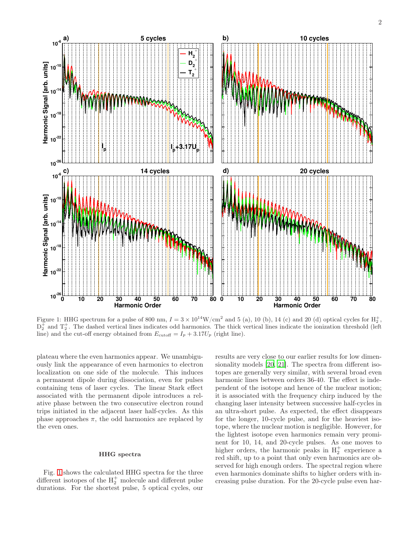

<span id="page-1-0"></span>Figure 1: HHG spectrum for a pulse of 800 nm,  $I = 3 \times 10^{14} \text{W/cm}^2$  and 5 (a), 10 (b), 14 (c) and 20 (d) optical cycles for  $\text{H}_2^+$ ,  $D_2^{\pm}$  and  $T_2^{\pm}$ . The dashed vertical lines indicates odd harmonics. The thick vertical lines indicate the ionization threshold (left line) and the cut-off energy obtained from  $E_{\text{cutoff}} = I_p + 3.17U_p$  (right line).

plateau where the even harmonics appear. We unambiguously link the appearance of even harmonics to electron localization on one side of the molecule. This induces a permanent dipole during dissociation, even for pulses containing tens of laser cycles. The linear Stark effect associated with the permanent dipole introduces a relative phase between the two consecutive electron round trips initiated in the adjacent laser half-cycles. As this phase approaches  $\pi$ , the odd harmonics are replaced by the even ones.

## HHG spectra

Fig. [1](#page-1-0) shows the calculated HHG spectra for the three different isotopes of the  $H_2^+$  molecule and different pulse durations. For the shortest pulse, 5 optical cycles, our results are very close to our earlier results for low dimensionality models [\[20](#page-6-15), [21](#page-6-14)]. The spectra from different isotopes are generally very similar, with several broad even harmonic lines between orders 36-40. The effect is independent of the isotope and hence of the nuclear motion; it is associated with the frequency chirp induced by the changing laser intensity between successive half-cycles in an ultra-short pulse. As expected, the effect disappears for the longer, 10-cycle pulse, and for the heaviest isotope, where the nuclear motion is negligible. However, for the lightest isotope even harmonics remain very prominent for 10, 14, and 20-cycle pulses. As one moves to higher orders, the harmonic peaks in  $H_2^+$  experience a red shift, up to a point that only even harmonics are observed for high enough orders. The spectral region where even harmonics dominate shifts to higher orders with increasing pulse duration. For the 20-cycle pulse even har-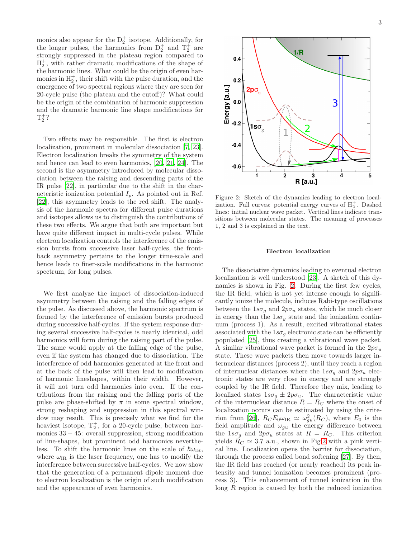monics also appear for the  $D_2^+$  isotope. Additionally, for the longer pulses, the harmonics from  $D_2^+$  and  $T_2^+$  are strongly suppressed in the plateau region compared to  $H_2^+$ , with rather dramatic modifications of the shape of the harmonic lines. What could be the origin of even harmonics in  $H_2^+$ , their shift with the pulse duration, and the emergence of two spectral regions where they are seen for 20-cycle pulse (the plateau and the cutoff)? What could be the origin of the combination of harmonic suppression and the dramatic harmonic line shape modifications for  $T_2^+?$ 

Two effects may be responsible. The first is electron localization, prominent in molecular dissociation [\[7](#page-6-16), [23\]](#page-6-17). Electron localization breaks the symmetry of the system and hence can lead to even harmonics, [\[20](#page-6-15), [21,](#page-6-14) [24\]](#page-6-18). The second is the asymmetry introduced by molecular dissociation between the raising and descending parts of the IR pulse [\[22\]](#page-6-13), in particular due to the shift in the characteristic ionization potential  $I_p$ . As pointed out in Ref. [\[22\]](#page-6-13), this asymmetry leads to the red shift. The analysis of the harmonic spectra for different pulse durations and isotopes allows us to distinguish the contributions of these two effects. We argue that both are important but have quite different impact in multi-cycle pulses. While electron localization controls the interference of the emission bursts from successive laser half-cycles, the frontback asymmetry pertains to the longer time-scale and hence leads to finer-scale modifications in the harmonic spectrum, for long pulses.

We first analyze the impact of dissociation-induced asymmetry between the raising and the falling edges of the pulse. As discussed above, the harmonic spectrum is formed by the interference of emission bursts produced during successive half-cycles. If the system response during several successive half-cycles is nearly identical, odd harmonics will form during the raising part of the pulse. The same would apply at the falling edge of the pulse, even if the system has changed due to dissociation. The interference of odd harmonics generated at the front and at the back of the pulse will then lead to modification of harmonic lineshapes, within their width. However, it will not turn odd harmonics into even. If the contributions from the raising and the falling parts of the pulse are phase-shifted by  $\pi$  in some spectral window, strong reshaping and suppression in this spectral window may result. This is precisely what we find for the heaviest isotope,  $T_2^+$ , for a 20-cycle pulse, between harmonics  $33 - 45$ : overall suppression, strong modification of line-shapes, but prominent odd harmonics nevertheless. To shift the harmonic lines on the scale of  $\hbar\omega_{\text{IR}}$ , where  $\omega_{IR}$  is the laser frequency, one has to modify the interference between successive half-cycles. We now show that the generation of a permanent dipole moment due to electron localization is the origin of such modification and the appearance of even harmonics.



<span id="page-2-0"></span>Figure 2: Sketch of the dynamics leading to electron localization. Full curves: potential energy curves of  $H_2^+$ . Dashed lines: initial nuclear wave packet. Vertical lines indicate transitions between molecular states. The meaning of processes 1, 2 and 3 is explained in the text.

#### Electron localization

The dissociative dynamics leading to eventual electron localization is well understood [\[23](#page-6-17)]. A sketch of this dynamics is shown in Fig. [2.](#page-2-0) During the first few cycles, the IR field, which is not yet intense enough to significantly ionize the molecule, induces Rabi-type oscillations between the  $1s\sigma_g$  and  $2p\sigma_u$  states, which lie much closer in energy than the  $1s\sigma_g$  state and the ionization continuum (process 1). As a result, excited vibrational states associated with the  $1s\sigma_g$  electronic state can be efficiently populated [\[25\]](#page-6-19), thus creating a vibrational wave packet. A similar vibrational wave packet is formed in the  $2p\sigma_u$ state. These wave packets then move towards larger internuclear distances (process 2), until they reach a region of internuclear distances where the  $1s\sigma_q$  and  $2p\sigma_u$  electronic states are very close in energy and are strongly coupled by the IR field. Therefore they mix, leading to localized states  $1s\sigma_g \pm 2p\sigma_u$ . The characteristic value of the internuclear distance  $R = R_C$  where the onset of localization occurs can be estimated by using the crite-rion from [\[26](#page-6-20)],  $R_C E_0 \omega_{\text{IR}} \simeq \omega_{gu}^2(R_C)$ , where  $E_0$  is the field amplitude and  $\omega_{gu}$  the energy difference between the  $1s\sigma_q$  and  $2p\sigma_u$  states at  $R = R_C$ . This criterion yields  $R_C \simeq 3.7$  a.u., shown in Fig[.2](#page-2-0) with a pink vertical line. Localization opens the barrier for dissociation, through the process called bond softening [\[27\]](#page-6-21). By then, the IR field has reached (or nearly reached) its peak intensity and tunnel ionization becomes prominent (process 3). This enhancement of tunnel ionization in the long R region is caused by both the reduced ionization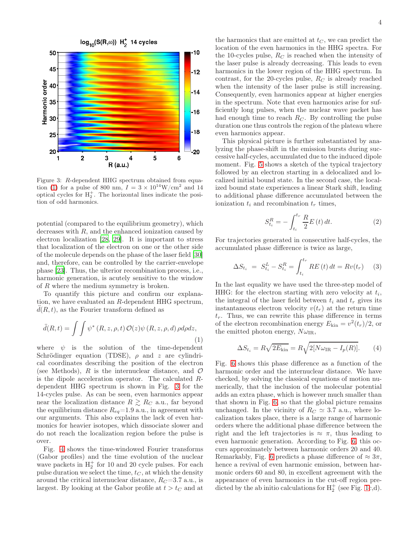

<span id="page-3-1"></span>Figure 3: R-dependent HHG spectrum obtained from equa-tion [\(1\)](#page-3-0) for a pulse of 800 nm,  $I = 3 \times 10^{14}$ W/cm<sup>2</sup> and 14 optical cycles for  $H_2^+$ . The horizontal lines indicate the position of odd harmonics.

potential (compared to the equilibrium geometry), which decreases with  $R$ , and the enhanced ionization caused by electron localization [\[28,](#page-6-22) [29\]](#page-6-23). It is important to stress that localization of the electron on one or the other side of the molecule depends on the phase of the laser field [\[30](#page-6-24)] and, therefore, can be controlled by the carrier-envelope phase [\[23\]](#page-6-17). Thus, the ulterior recombination process, i.e., harmonic generation, is acutely sensitive to the window of R where the medium symmetry is broken.

To quantify this picture and confirm our explanation, we have evaluated an R-dependent HHG spectrum,  $d(R, t)$ , as the Fourier transform defined as

<span id="page-3-0"></span>
$$
\ddot{d}(R,t) = \int \int \psi^* (R,z,\rho,t) \mathcal{O}(z) \psi (R,z,\rho,d) \rho d\rho dz, \tag{1}
$$

where  $\psi$  is the solution of the time-dependent Schrödinger equation (TDSE),  $\rho$  and z are cylindrical coordinates describing the position of the electron (see Methods), R is the internuclear distance, and  $\mathcal O$ is the dipole acceleration operator. The calculated Rdependent HHG spectrum is shown in Fig. [3](#page-3-1) for the 14-cycles pulse. As can be seen, even harmonics appear near the localization distance  $R \gtrsim R_C$  a.u., far beyond the equilibrium distance  $R_{eq} = 1.9$  a.u., in agreement with our arguments. This also explains the lack of even harmonics for heavier isotopes, which dissociate slower and do not reach the localization region before the pulse is over.

Fig. [4](#page-4-0) shows the time-windowed Fourier transforms (Gabor profiles) and the time evolution of the nuclear wave packets in  $H_2^+$  for 10 and 20 cycle pulses. For each pulse duration we select the time,  $t<sub>C</sub>$ , at which the density around the critical internuclear distance,  $R_C = 3.7$  a.u., is largest. By looking at the Gabor profile at  $t > t_C$  and at

the harmonics that are emitted at  $t<sub>C</sub>$ , we can predict the location of the even harmonics in the HHG spectra. For the 10-cycles pulse,  $R_C$  is reached when the intensity of the laser pulse is already decreasing. This leads to even harmonics in the lower region of the HHG spectrum. In contrast, for the 20-cycles pulse,  $R_C$  is already reached when the intensity of the laser pulse is still increasing. Consequently, even harmonics appear at higher energies in the spectrum. Note that even harmonics arise for sufficiently long pulses, when the nuclear wave packet has had enough time to reach  $R_C$ . By controlling the pulse duration one thus controls the region of the plateau where even harmonics appear.

This physical picture is further substantiated by analyzing the phase-shift in the emission bursts during successive half-cycles, accumulated due to the induced dipole moment. Fig. [5](#page-4-1) shows a sketch of the typical trajectory followed by an electron starting in a delocalized and localized initial bound state. In the second case, the localized bound state experiences a linear Stark shift, leading to additional phase difference accumulated between the ionization  $t_i$  and recombination  $t_r$  times,

$$
S_{t_i}^R = -\int_{t_i}^{t_r} \frac{R}{2} E(t) dt.
$$
 (2)

For trajectories generated in consecutive half-cycles, the accumulated phase difference is twice as large,

$$
\Delta S_{t_i} = S_{t_i}^L - S_{t_i}^R = \int_{t_i}^{t_r} RE(t) dt = Rv(t_r) \quad (3)
$$

In the last equality we have used the three-step model of HHG: for the electron starting with zero velocity at  $t_i$ , the integral of the laser field between  $t_i$  and  $t_r$  gives its instantaneous electron velocity  $v(t_r)$  at the return time  $t_r$ . Thus, we can rewrite this phase difference in terms of the electron recombination energy  $E_{\text{kin}} = v^2(t_r)/2$ , or the emitted photon energy,  $N\omega_{\text{IR}}$ ,

$$
\Delta S_{t_i} = R \sqrt{2E_{\text{kin}}} = R \sqrt{2[N\omega_{\text{IR}} - I_p(R)]}.
$$
 (4)

Fig. [6](#page-5-2) shows this phase difference as a function of the harmonic order and the internuclear distance. We have checked, by solving the classical equations of motion numerically, that the inclusion of the molecular potential adds an extra phase, which is however much smaller than that shown in Fig. [6,](#page-5-2) so that the global picture remains unchanged. In the vicinity of  $R_C \simeq 3.7$  a.u., where localization takes place, there is a large range of harmonic orders where the additional phase difference between the right and the left trajectories is  $\approx \pi$ , thus leading to even harmonic generation. According to Fig. [6,](#page-5-2) this occurs approximately between harmonic orders 20 and 40. Remarkably, Fig. [6](#page-5-2) predicts a phase difference of  $\approx 3\pi$ , hence a revival of even harmonic emission, between harmonic orders 60 and 80, in excellent agreement with the appearance of even harmonics in the cut-off region predicted by the ab initio calculations for  $H_2^+$  (see Fig. [1c](#page-1-0),d).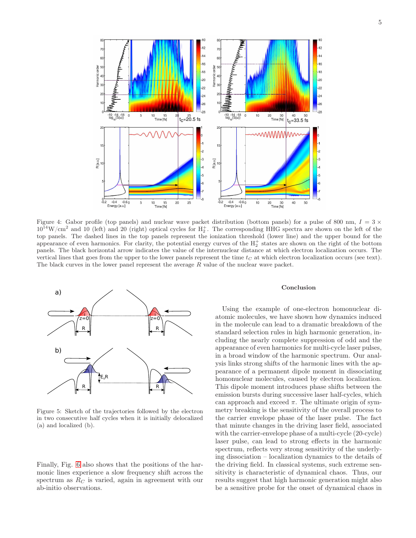

<span id="page-4-0"></span>Figure 4: Gabor profile (top panels) and nuclear wave packet distribution (bottom panels) for a pulse of 800 nm,  $I = 3 \times$  $10^{14}$ W/cm<sup>2</sup> and 10 (left) and 20 (right) optical cycles for  $H_2^+$ . The corresponding HHG spectra are shown on the left of the top panels. The dashed lines in the top panels represent the ionization threshold (lower line) and the upper bound for the appearance of even harmonics. For clarity, the potential energy curves of the  $H_2^+$  states are shown on the right of the bottom panels. The black horizontal arrow indicates the value of the internuclear distance at which electron localization occurs. The vertical lines that goes from the upper to the lower panels represent the time  $t<sub>C</sub>$  at which electron localization occurs (see text). The black curves in the lower panel represent the average R value of the nuclear wave packet.



<span id="page-4-1"></span>Figure 5: Sketch of the trajectories followed by the electron in two consecutive half cycles when it is initially delocalized (a) and localized (b).

Finally, Fig. [6](#page-5-2) also shows that the positions of the harmonic lines experience a slow frequency shift across the spectrum as  $R_C$  is varied, again in agreement with our ab-initio observations.

## Conclusion

Using the example of one-electron homonuclear diatomic molecules, we have shown how dynamics induced in the molecule can lead to a dramatic breakdown of the standard selection rules in high harmonic generation, including the nearly complete suppression of odd and the appearance of even harmonics for multi-cycle laser pulses, in a broad window of the harmonic spectrum. Our analysis links strong shifts of the harmonic lines with the appearance of a permanent dipole moment in dissociating homonuclear molecules, caused by electron localization. This dipole moment introduces phase shifts between the emission bursts during successive laser half-cycles, which can approach and exceed  $\pi$ . The ultimate origin of symmetry breaking is the sensitivity of the overall process to the carrier envelope phase of the laser pulse. The fact that minute changes in the driving laser field, associated with the carrier-envelope phase of a multi-cycle (20-cycle) laser pulse, can lead to strong effects in the harmonic spectrum, reflects very strong sensitivity of the underlying dissociation – localization dynamics to the details of the driving field. In classical systems, such extreme sensitivity is characteristic of dynamical chaos. Thus, our results suggest that high harmonic generation might also be a sensitive probe for the onset of dynamical chaos in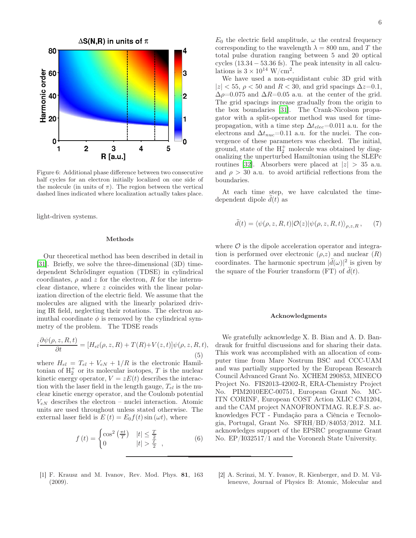

<span id="page-5-2"></span>Figure 6: Additional phase difference between two consecutive half cycles for an electron initially localized on one side of the molecule (in units of  $\pi$ ). The region between the vertical dashed lines indicated where localization actually takes place.

light-driven systems.

### Methods

Our theoretical method has been described in detail in [\[31\]](#page-6-25). Briefly, we solve the three-dimensional (3D) timedependent Schrödinger equation (TDSE) in cylindrical coordinates,  $\rho$  and z for the electron, R for the internuclear distance, where z coincides with the linear polarization direction of the electric field. We assume that the molecules are aligned with the linearly polarized driving IR field, neglecting their rotations. The electron azimuthal coordinate  $\phi$  is removed by the cylindrical symmetry of the problem. The TDSE reads

$$
i\frac{\partial\psi(\rho,z,R,t)}{\partial t} = [H_{el}(\rho,z,R) + T(R) + V(z,t)]\psi(\rho,z,R,t),
$$
\n(5)

where  $H_{el} = T_{el} + V_{eN} + 1/R$  is the electronic Hamiltonian of  $H_2^+$  or its molecular isotopes, T is the nuclear kinetic energy operator,  $V = zE(t)$  describes the interaction with the laser field in the length gauge,  $T_{el}$  is the nuclear kinetic energy operator, and the Coulomb potential  $V_{eN}$  describes the electron – nuclei interaction. Atomic units are used throughout unless stated otherwise. The external laser field is  $E(t) = E_0 f(t) \sin(\omega t)$ , where

$$
f(t) = \begin{cases} \cos^2\left(\frac{\pi t}{T}\right) & |t| \le \frac{T}{2} \\ 0 & |t| > \frac{T}{2} \end{cases} \tag{6}
$$

We have used a non-equidistant cubic 3D grid with  $|z|$  < 55,  $\rho$  < 50 and R < 30, and grid spacings  $\Delta z$ =0.1,  $\Delta \rho$ =0.075 and  $\Delta R$ =0.05 a.u. at the center of the grid. The grid spacings increase gradually from the origin to the box boundaries [\[31\]](#page-6-25). The Crank-Nicolson propagator with a split-operator method was used for timepropagation, with a time step  $\Delta t_{elec}=0.011$  a.u. for the electrons and  $\Delta t_{nuc}=0.11$  a.u. for the nuclei. The convergence of these parameters was checked. The initial, ground, state of the  $H_2^+$  molecule was obtained by diagonalizing the unperturbed Hamiltonian using the SLEPc routines [\[32\]](#page-6-26). Absorbers were placed at  $|z| > 35$  a.u. and  $\rho > 30$  a.u. to avoid artificial reflections from the boundaries.

At each time step, we have calculated the timedependent dipole  $\tilde{d}(t)$  as

$$
\ddot{d}(t) = \langle \psi(\rho, z, R, t) | \mathcal{O}(z) | \psi(\rho, z, R, t) \rangle_{\rho, z, R}, \qquad (7)
$$

where  $\mathcal O$  is the dipole acceleration operator and integration is performed over electronic  $(\rho, z)$  and nuclear  $(R)$ coordinates. The harmonic spectrum  $|\ddot{d}(\omega)|^2$  is given by the square of the Fourier transform (FT) of  $\ddot{d}(t)$ .

### Acknowledgments

We gratefully acknowledge X. B. Bian and A. D. Bandrauk for fruitful discussions and for sharing their data. This work was accomplished with an allocation of computer time from Mare Nostrum BSC and CCC-UAM and was partially supported by the European Research Council Advanced Grant No. XCHEM 290853, MINECO Project No. FIS2013-42002-R, ERA-Chemistry Project No. PIM2010EEC-00751, European Grant No. MC-ITN CORINF, European COST Action XLIC CM1204, and the CAM project NANOFRONTMAG. R.E.F.S. acknowledges FCT - Fundação para a Ciência e Tecnologia, Portugal, Grant No. SFRH/BD/84053/2012. M.I. acknowledges support of the EPSRC programme Grant No. EP/I032517/1 and the Voronezh State University.

- <span id="page-5-0"></span>[1] F. Krausz and M. Ivanov, Rev. Mod. Phys. 81, 163 (2009).
- <span id="page-5-1"></span>[2] A. Scrinzi, M. Y. Ivanov, R. Kienberger, and D. M. Villeneuve, Journal of Physics B: Atomic, Molecular and